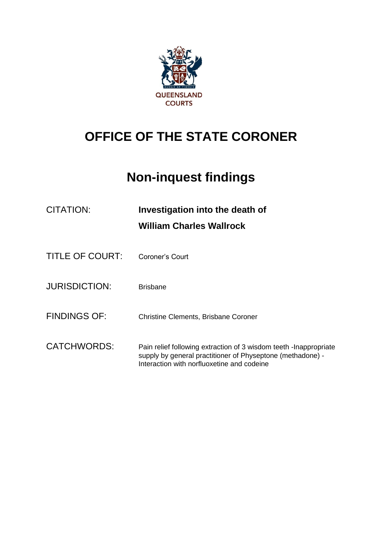

# **OFFICE OF THE STATE CORONER**

# **Non-inquest findings**

| CITATION:              | Investigation into the death of<br><b>William Charles Wallrock</b>                                                                                                             |
|------------------------|--------------------------------------------------------------------------------------------------------------------------------------------------------------------------------|
| <b>TITLE OF COURT:</b> | Coroner's Court                                                                                                                                                                |
| <b>JURISDICTION:</b>   | <b>Brisbane</b>                                                                                                                                                                |
| <b>FINDINGS OF:</b>    | <b>Christine Clements, Brisbane Coroner</b>                                                                                                                                    |
| <b>CATCHWORDS:</b>     | Pain relief following extraction of 3 wisdom teeth - Inappropriate<br>supply by general practitioner of Physeptone (methadone) -<br>Interaction with norfluoxetine and codeine |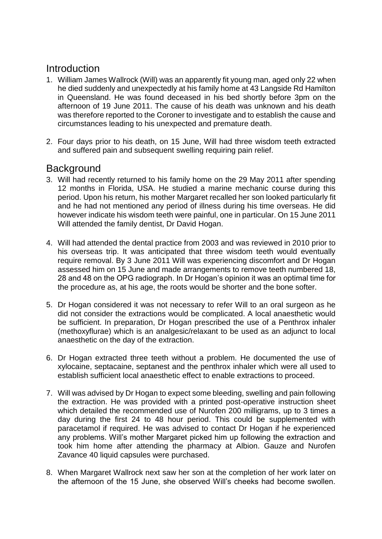## **Introduction**

- 1. William James Wallrock (Will) was an apparently fit young man, aged only 22 when he died suddenly and unexpectedly at his family home at 43 Langside Rd Hamilton in Queensland. He was found deceased in his bed shortly before 3pm on the afternoon of 19 June 2011. The cause of his death was unknown and his death was therefore reported to the Coroner to investigate and to establish the cause and circumstances leading to his unexpected and premature death.
- 2. Four days prior to his death, on 15 June, Will had three wisdom teeth extracted and suffered pain and subsequent swelling requiring pain relief.

## **Background**

- 3. Will had recently returned to his family home on the 29 May 2011 after spending 12 months in Florida, USA. He studied a marine mechanic course during this period. Upon his return, his mother Margaret recalled her son looked particularly fit and he had not mentioned any period of illness during his time overseas. He did however indicate his wisdom teeth were painful, one in particular. On 15 June 2011 Will attended the family dentist, Dr David Hogan.
- 4. Will had attended the dental practice from 2003 and was reviewed in 2010 prior to his overseas trip. It was anticipated that three wisdom teeth would eventually require removal. By 3 June 2011 Will was experiencing discomfort and Dr Hogan assessed him on 15 June and made arrangements to remove teeth numbered 18, 28 and 48 on the OPG radiograph. In Dr Hogan's opinion it was an optimal time for the procedure as, at his age, the roots would be shorter and the bone softer.
- 5. Dr Hogan considered it was not necessary to refer Will to an oral surgeon as he did not consider the extractions would be complicated. A local anaesthetic would be sufficient. In preparation, Dr Hogan prescribed the use of a Penthrox inhaler (methoxyflurae) which is an analgesic/relaxant to be used as an adjunct to local anaesthetic on the day of the extraction.
- 6. Dr Hogan extracted three teeth without a problem. He documented the use of xylocaine, septacaine, septanest and the penthrox inhaler which were all used to establish sufficient local anaesthetic effect to enable extractions to proceed.
- 7. Will was advised by Dr Hogan to expect some bleeding, swelling and pain following the extraction. He was provided with a printed post-operative instruction sheet which detailed the recommended use of Nurofen 200 milligrams, up to 3 times a day during the first 24 to 48 hour period. This could be supplemented with paracetamol if required. He was advised to contact Dr Hogan if he experienced any problems. Will's mother Margaret picked him up following the extraction and took him home after attending the pharmacy at Albion. Gauze and Nurofen Zavance 40 liquid capsules were purchased.
- 8. When Margaret Wallrock next saw her son at the completion of her work later on the afternoon of the 15 June, she observed Will's cheeks had become swollen.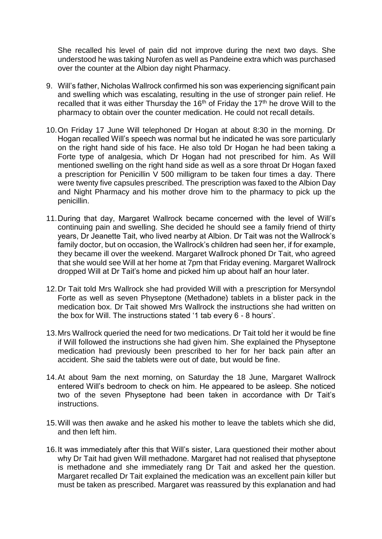She recalled his level of pain did not improve during the next two days. She understood he was taking Nurofen as well as Pandeine extra which was purchased over the counter at the Albion day night Pharmacy.

- 9. Will's father, Nicholas Wallrock confirmed his son was experiencing significant pain and swelling which was escalating, resulting in the use of stronger pain relief. He recalled that it was either Thursday the 16<sup>th</sup> of Friday the 17<sup>th</sup> he drove Will to the pharmacy to obtain over the counter medication. He could not recall details.
- 10.On Friday 17 June Will telephoned Dr Hogan at about 8:30 in the morning. Dr Hogan recalled Will's speech was normal but he indicated he was sore particularly on the right hand side of his face. He also told Dr Hogan he had been taking a Forte type of analgesia, which Dr Hogan had not prescribed for him. As Will mentioned swelling on the right hand side as well as a sore throat Dr Hogan faxed a prescription for Penicillin V 500 milligram to be taken four times a day. There were twenty five capsules prescribed. The prescription was faxed to the Albion Day and Night Pharmacy and his mother drove him to the pharmacy to pick up the penicillin.
- 11.During that day, Margaret Wallrock became concerned with the level of Will's continuing pain and swelling. She decided he should see a family friend of thirty years, Dr Jeanette Tait, who lived nearby at Albion. Dr Tait was not the Wallrock's family doctor, but on occasion, the Wallrock's children had seen her, if for example, they became ill over the weekend. Margaret Wallrock phoned Dr Tait, who agreed that she would see Will at her home at 7pm that Friday evening. Margaret Wallrock dropped Will at Dr Tait's home and picked him up about half an hour later.
- 12.Dr Tait told Mrs Wallrock she had provided Will with a prescription for Mersyndol Forte as well as seven Physeptone (Methadone) tablets in a blister pack in the medication box. Dr Tait showed Mrs Wallrock the instructions she had written on the box for Will. The instructions stated '1 tab every 6 - 8 hours'.
- 13.Mrs Wallrock queried the need for two medications. Dr Tait told her it would be fine if Will followed the instructions she had given him. She explained the Physeptone medication had previously been prescribed to her for her back pain after an accident. She said the tablets were out of date, but would be fine.
- 14.At about 9am the next morning, on Saturday the 18 June, Margaret Wallrock entered Will's bedroom to check on him. He appeared to be asleep. She noticed two of the seven Physeptone had been taken in accordance with Dr Tait's instructions.
- 15.Will was then awake and he asked his mother to leave the tablets which she did, and then left him.
- 16.It was immediately after this that Will's sister, Lara questioned their mother about why Dr Tait had given Will methadone. Margaret had not realised that physeptone is methadone and she immediately rang Dr Tait and asked her the question. Margaret recalled Dr Tait explained the medication was an excellent pain killer but must be taken as prescribed. Margaret was reassured by this explanation and had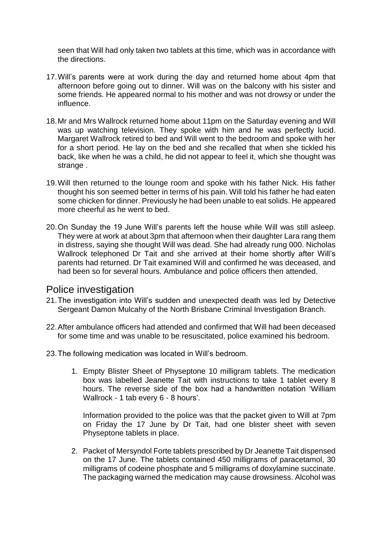seen that Will had only taken two tablets at this time, which was in accordance with the directions.

- 17.Will's parents were at work during the day and returned home about 4pm that afternoon before going out to dinner. Will was on the balcony with his sister and some friends. He appeared normal to his mother and was not drowsy or under the influence.
- 18.Mr and Mrs Wallrock returned home about 11pm on the Saturday evening and Will was up watching television. They spoke with him and he was perfectly lucid. Margaret Wallrock retired to bed and Will went to the bedroom and spoke with her for a short period. He lay on the bed and she recalled that when she tickled his back, like when he was a child, he did not appear to feel it, which she thought was strange.
- 19.Will then returned to the lounge room and spoke with his father Nick. His father thought his son seemed better in terms of his pain. Will told his father he had eaten some chicken for dinner. Previously he had been unable to eat solids. He appeared more cheerful as he went to bed.
- 20.On Sunday the 19 June Will's parents left the house while Will was still asleep. They were at work at about 3pm that afternoon when their daughter Lara rang them in distress, saying she thought Will was dead. She had already rung 000. Nicholas Wallrock telephoned Dr Tait and she arrived at their home shortly after Will's parents had returned. Dr Tait examined Will and confirmed he was deceased, and had been so for several hours. Ambulance and police officers then attended.

### Police investigation

- 21.The investigation into Will's sudden and unexpected death was led by Detective Sergeant Damon Mulcahy of the North Brisbane Criminal Investigation Branch.
- 22.After ambulance officers had attended and confirmed that Will had been deceased for some time and was unable to be resuscitated, police examined his bedroom.
- 23.The following medication was located in Will's bedroom.
	- 1. Empty Blister Sheet of Physeptone 10 milligram tablets. The medication box was labelled Jeanette Tait with instructions to take 1 tablet every 8 hours. The reverse side of the box had a handwritten notation 'William Wallrock - 1 tab every 6 - 8 hours'.

Information provided to the police was that the packet given to Will at 7pm on Friday the 17 June by Dr Tait, had one blister sheet with seven Physeptone tablets in place.

2. Packet of Mersyndol Forte tablets prescribed by Dr Jeanette Tait dispensed on the 17 June. The tablets contained 450 milligrams of paracetamol, 30 milligrams of codeine phosphate and 5 milligrams of doxylamine succinate. The packaging warned the medication may cause drowsiness. Alcohol was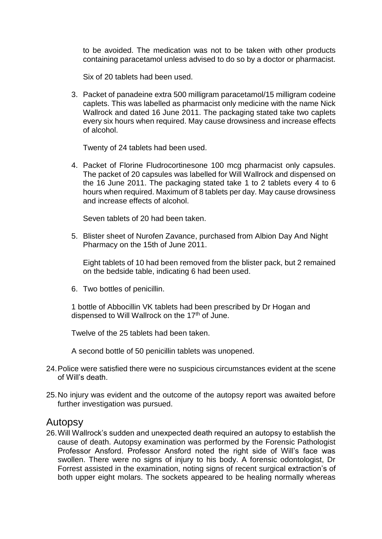to be avoided. The medication was not to be taken with other products containing paracetamol unless advised to do so by a doctor or pharmacist.

Six of 20 tablets had been used.

3. Packet of panadeine extra 500 milligram paracetamol/15 milligram codeine caplets. This was labelled as pharmacist only medicine with the name Nick Wallrock and dated 16 June 2011. The packaging stated take two caplets every six hours when required. May cause drowsiness and increase effects of alcohol.

Twenty of 24 tablets had been used.

4. Packet of Florine Fludrocortinesone 100 mcg pharmacist only capsules. The packet of 20 capsules was labelled for Will Wallrock and dispensed on the 16 June 2011. The packaging stated take 1 to 2 tablets every 4 to 6 hours when required. Maximum of 8 tablets per day. May cause drowsiness and increase effects of alcohol.

Seven tablets of 20 had been taken.

5. Blister sheet of Nurofen Zavance, purchased from Albion Day And Night Pharmacy on the 15th of June 2011.

Eight tablets of 10 had been removed from the blister pack, but 2 remained on the bedside table, indicating 6 had been used.

6. Two bottles of penicillin.

1 bottle of Abbocillin VK tablets had been prescribed by Dr Hogan and dispensed to Will Wallrock on the 17<sup>th</sup> of June.

Twelve of the 25 tablets had been taken.

A second bottle of 50 penicillin tablets was unopened.

- 24.Police were satisfied there were no suspicious circumstances evident at the scene of Will's death.
- 25.No injury was evident and the outcome of the autopsy report was awaited before further investigation was pursued.

### Autopsy

26.Will Wallrock's sudden and unexpected death required an autopsy to establish the cause of death. Autopsy examination was performed by the Forensic Pathologist Professor Ansford. Professor Ansford noted the right side of Will's face was swollen. There were no signs of injury to his body. A forensic odontologist, Dr Forrest assisted in the examination, noting signs of recent surgical extraction's of both upper eight molars. The sockets appeared to be healing normally whereas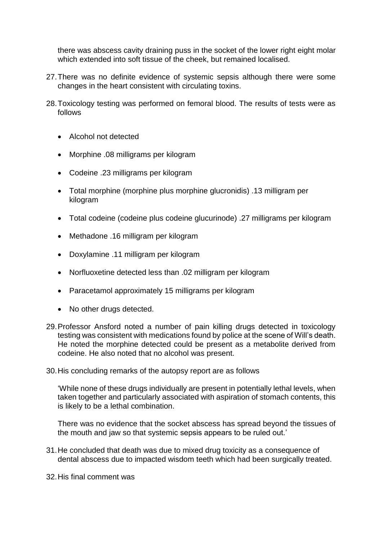there was abscess cavity draining puss in the socket of the lower right eight molar which extended into soft tissue of the cheek, but remained localised.

- 27.There was no definite evidence of systemic sepsis although there were some changes in the heart consistent with circulating toxins.
- 28.Toxicology testing was performed on femoral blood. The results of tests were as follows
	- Alcohol not detected
	- Morphine .08 milligrams per kilogram
	- Codeine .23 milligrams per kilogram
	- Total morphine (morphine plus morphine glucronidis) .13 milligram per kilogram
	- Total codeine (codeine plus codeine glucurinode) .27 milligrams per kilogram
	- Methadone .16 milligram per kilogram
	- Doxylamine .11 milligram per kilogram
	- Norfluoxetine detected less than .02 milligram per kilogram
	- Paracetamol approximately 15 milligrams per kilogram
	- No other drugs detected.
- 29.Professor Ansford noted a number of pain killing drugs detected in toxicology testing was consistent with medications found by police at the scene of Will's death. He noted the morphine detected could be present as a metabolite derived from codeine. He also noted that no alcohol was present.
- 30.His concluding remarks of the autopsy report are as follows

'While none of these drugs individually are present in potentially lethal levels, when taken together and particularly associated with aspiration of stomach contents, this is likely to be a lethal combination.

There was no evidence that the socket abscess has spread beyond the tissues of the mouth and jaw so that systemic sepsis appears to be ruled out.'

- 31.He concluded that death was due to mixed drug toxicity as a consequence of dental abscess due to impacted wisdom teeth which had been surgically treated.
- 32.His final comment was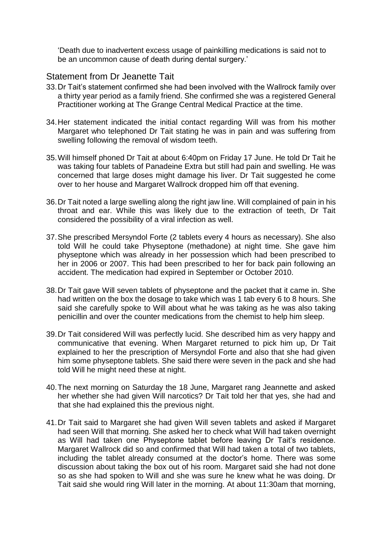'Death due to inadvertent excess usage of painkilling medications is said not to be an uncommon cause of death during dental surgery.'

### Statement from Dr Jeanette Tait

- 33.Dr Tait's statement confirmed she had been involved with the Wallrock family over a thirty year period as a family friend. She confirmed she was a registered General Practitioner working at The Grange Central Medical Practice at the time.
- 34.Her statement indicated the initial contact regarding Will was from his mother Margaret who telephoned Dr Tait stating he was in pain and was suffering from swelling following the removal of wisdom teeth.
- 35.Will himself phoned Dr Tait at about 6:40pm on Friday 17 June. He told Dr Tait he was taking four tablets of Panadeine Extra but still had pain and swelling. He was concerned that large doses might damage his liver. Dr Tait suggested he come over to her house and Margaret Wallrock dropped him off that evening.
- 36.Dr Tait noted a large swelling along the right jaw line. Will complained of pain in his throat and ear. While this was likely due to the extraction of teeth, Dr Tait considered the possibility of a viral infection as well.
- 37.She prescribed Mersyndol Forte (2 tablets every 4 hours as necessary). She also told Will he could take Physeptone (methadone) at night time. She gave him physeptone which was already in her possession which had been prescribed to her in 2006 or 2007. This had been prescribed to her for back pain following an accident. The medication had expired in September or October 2010.
- 38.Dr Tait gave Will seven tablets of physeptone and the packet that it came in. She had written on the box the dosage to take which was 1 tab every 6 to 8 hours. She said she carefully spoke to Will about what he was taking as he was also taking penicillin and over the counter medications from the chemist to help him sleep.
- 39.Dr Tait considered Will was perfectly lucid. She described him as very happy and communicative that evening. When Margaret returned to pick him up, Dr Tait explained to her the prescription of Mersyndol Forte and also that she had given him some physeptone tablets. She said there were seven in the pack and she had told Will he might need these at night.
- 40.The next morning on Saturday the 18 June, Margaret rang Jeannette and asked her whether she had given Will narcotics? Dr Tait told her that yes, she had and that she had explained this the previous night.
- 41.Dr Tait said to Margaret she had given Will seven tablets and asked if Margaret had seen Will that morning. She asked her to check what Will had taken overnight as Will had taken one Physeptone tablet before leaving Dr Tait's residence. Margaret Wallrock did so and confirmed that Will had taken a total of two tablets, including the tablet already consumed at the doctor's home. There was some discussion about taking the box out of his room. Margaret said she had not done so as she had spoken to Will and she was sure he knew what he was doing. Dr Tait said she would ring Will later in the morning. At about 11:30am that morning,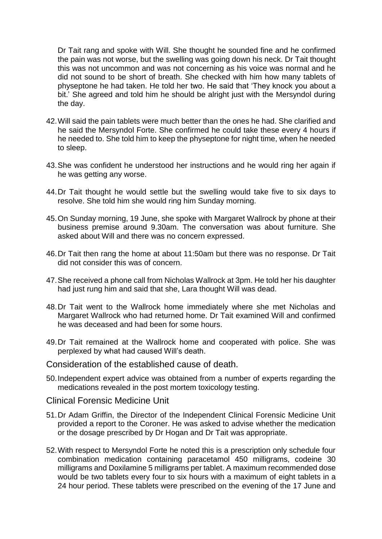Dr Tait rang and spoke with Will. She thought he sounded fine and he confirmed the pain was not worse, but the swelling was going down his neck. Dr Tait thought this was not uncommon and was not concerning as his voice was normal and he did not sound to be short of breath. She checked with him how many tablets of physeptone he had taken. He told her two. He said that 'They knock you about a bit.' She agreed and told him he should be alright just with the Mersyndol during the day.

- 42.Will said the pain tablets were much better than the ones he had. She clarified and he said the Mersyndol Forte. She confirmed he could take these every 4 hours if he needed to. She told him to keep the physeptone for night time, when he needed to sleep.
- 43.She was confident he understood her instructions and he would ring her again if he was getting any worse.
- 44.Dr Tait thought he would settle but the swelling would take five to six days to resolve. She told him she would ring him Sunday morning.
- 45.On Sunday morning, 19 June, she spoke with Margaret Wallrock by phone at their business premise around 9.30am. The conversation was about furniture. She asked about Will and there was no concern expressed.
- 46.Dr Tait then rang the home at about 11:50am but there was no response. Dr Tait did not consider this was of concern.
- 47.She received a phone call from Nicholas Wallrock at 3pm. He told her his daughter had just rung him and said that she, Lara thought Will was dead.
- 48.Dr Tait went to the Wallrock home immediately where she met Nicholas and Margaret Wallrock who had returned home. Dr Tait examined Will and confirmed he was deceased and had been for some hours.
- 49.Dr Tait remained at the Wallrock home and cooperated with police. She was perplexed by what had caused Will's death.
- Consideration of the established cause of death.
- 50.Independent expert advice was obtained from a number of experts regarding the medications revealed in the post mortem toxicology testing.
- Clinical Forensic Medicine Unit
- 51.Dr Adam Griffin, the Director of the Independent Clinical Forensic Medicine Unit provided a report to the Coroner. He was asked to advise whether the medication or the dosage prescribed by Dr Hogan and Dr Tait was appropriate.
- 52.With respect to Mersyndol Forte he noted this is a prescription only schedule four combination medication containing paracetamol 450 milligrams, codeine 30 milligrams and Doxilamine 5 milligrams per tablet. A maximum recommended dose would be two tablets every four to six hours with a maximum of eight tablets in a 24 hour period. These tablets were prescribed on the evening of the 17 June and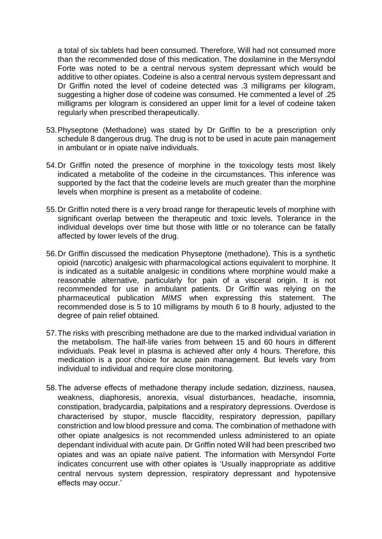a total of six tablets had been consumed. Therefore, Will had not consumed more than the recommended dose of this medication. The doxilamine in the Mersyndol Forte was noted to be a central nervous system depressant which would be additive to other opiates. Codeine is also a central nervous system depressant and Dr Griffin noted the level of codeine detected was .3 milligrams per kilogram, suggesting a higher dose of codeine was consumed. He commented a level of .25 milligrams per kilogram is considered an upper limit for a level of codeine taken regularly when prescribed therapeutically.

- 53.Physeptone (Methadone) was stated by Dr Griffin to be a prescription only schedule 8 dangerous drug. The drug is not to be used in acute pain management in ambulant or in opiate naïve individuals.
- 54.Dr Griffin noted the presence of morphine in the toxicology tests most likely indicated a metabolite of the codeine in the circumstances. This inference was supported by the fact that the codeine levels are much greater than the morphine levels when morphine is present as a metabolite of codeine.
- 55.Dr Griffin noted there is a very broad range for therapeutic levels of morphine with significant overlap between the therapeutic and toxic levels. Tolerance in the individual develops over time but those with little or no tolerance can be fatally affected by lower levels of the drug.
- 56.Dr Griffin discussed the medication Physeptone (methadone). This is a synthetic opioid (narcotic) analgesic with pharmacological actions equivalent to morphine. It is indicated as a suitable analgesic in conditions where morphine would make a reasonable alternative, particularly for pain of a visceral origin. It is not recommended for use in ambulant patients. Dr Griffin was relying on the pharmaceutical publication *MIMS* when expressing this statement. The recommended dose is 5 to 10 milligrams by mouth 6 to 8 hourly, adjusted to the degree of pain relief obtained.
- 57.The risks with prescribing methadone are due to the marked individual variation in the metabolism. The half-life varies from between 15 and 60 hours in different individuals. Peak level in plasma is achieved after only 4 hours. Therefore, this medication is a poor choice for acute pain management. But levels vary from individual to individual and require close monitoring.
- 58.The adverse effects of methadone therapy include sedation, dizziness, nausea, weakness, diaphoresis, anorexia, visual disturbances, headache, insomnia, constipation, bradycardia, palpitations and a respiratory depressions. Overdose is characterised by stupor, muscle flaccidity, respiratory depression, papillary constriction and low blood pressure and coma. The combination of methadone with other opiate analgesics is not recommended unless administered to an opiate dependant individual with acute pain. Dr Griffin noted Will had been prescribed two opiates and was an opiate naïve patient. The information with Mersyndol Forte indicates concurrent use with other opiates is 'Usually inappropriate as additive central nervous system depression, respiratory depressant and hypotensive effects may occur.'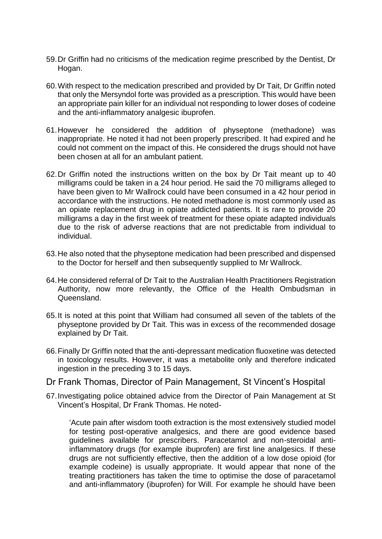- 59.Dr Griffin had no criticisms of the medication regime prescribed by the Dentist, Dr Hogan.
- 60.With respect to the medication prescribed and provided by Dr Tait, Dr Griffin noted that only the Mersyndol forte was provided as a prescription. This would have been an appropriate pain killer for an individual not responding to lower doses of codeine and the anti-inflammatory analgesic ibuprofen.
- 61.However he considered the addition of physeptone (methadone) was inappropriate. He noted it had not been properly prescribed. It had expired and he could not comment on the impact of this. He considered the drugs should not have been chosen at all for an ambulant patient.
- 62.Dr Griffin noted the instructions written on the box by Dr Tait meant up to 40 milligrams could be taken in a 24 hour period. He said the 70 milligrams alleged to have been given to Mr Wallrock could have been consumed in a 42 hour period in accordance with the instructions. He noted methadone is most commonly used as an opiate replacement drug in opiate addicted patients. It is rare to provide 20 milligrams a day in the first week of treatment for these opiate adapted individuals due to the risk of adverse reactions that are not predictable from individual to individual.
- 63.He also noted that the physeptone medication had been prescribed and dispensed to the Doctor for herself and then subsequently supplied to Mr Wallrock.
- 64.He considered referral of Dr Tait to the Australian Health Practitioners Registration Authority, now more relevantly, the Office of the Health Ombudsman in Queensland.
- 65.It is noted at this point that William had consumed all seven of the tablets of the physeptone provided by Dr Tait. This was in excess of the recommended dosage explained by Dr Tait.
- 66.Finally Dr Griffin noted that the anti-depressant medication fluoxetine was detected in toxicology results. However, it was a metabolite only and therefore indicated ingestion in the preceding 3 to 15 days.
- Dr Frank Thomas, Director of Pain Management, St Vincent's Hospital
- 67.Investigating police obtained advice from the Director of Pain Management at St Vincent's Hospital, Dr Frank Thomas. He noted-

'Acute pain after wisdom tooth extraction is the most extensively studied model for testing post-operative analgesics, and there are good evidence based guidelines available for prescribers. Paracetamol and non-steroidal antiinflammatory drugs (for example ibuprofen) are first line analgesics. If these drugs are not sufficiently effective, then the addition of a low dose opioid (for example codeine) is usually appropriate. It would appear that none of the treating practitioners has taken the time to optimise the dose of paracetamol and anti-inflammatory (ibuprofen) for Will. For example he should have been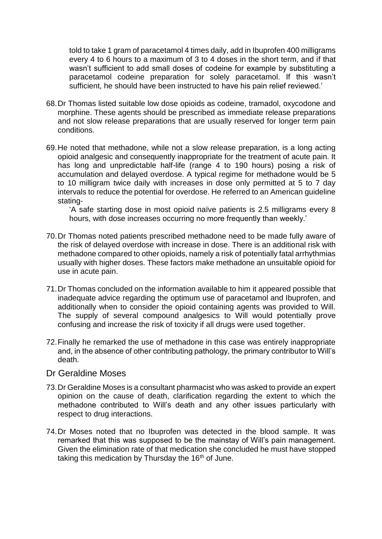told to take 1 gram of paracetamol 4 times daily, add in Ibuprofen 400 milligrams every 4 to 6 hours to a maximum of 3 to 4 doses in the short term, and if that wasn't sufficient to add small doses of codeine for example by substituting a paracetamol codeine preparation for solely paracetamol. If this wasn't sufficient, he should have been instructed to have his pain relief reviewed.'

- 68.Dr Thomas listed suitable low dose opioids as codeine, tramadol, oxycodone and morphine. These agents should be prescribed as immediate release preparations and not slow release preparations that are usually reserved for longer term pain conditions.
- 69.He noted that methadone, while not a slow release preparation, is a long acting opioid analgesic and consequently inappropriate for the treatment of acute pain. It has long and unpredictable half-life (range 4 to 190 hours) posing a risk of accumulation and delayed overdose. A typical regime for methadone would be 5 to 10 milligram twice daily with increases in dose only permitted at 5 to 7 day intervals to reduce the potential for overdose. He referred to an American guideline stating-

'A safe starting dose in most opioid naïve patients is 2.5 milligrams every 8 hours, with dose increases occurring no more frequently than weekly.'

- 70.Dr Thomas noted patients prescribed methadone need to be made fully aware of the risk of delayed overdose with increase in dose. There is an additional risk with methadone compared to other opioids, namely a risk of potentially fatal arrhythmias usually with higher doses. These factors make methadone an unsuitable opioid for use in acute pain.
- 71.Dr Thomas concluded on the information available to him it appeared possible that inadequate advice regarding the optimum use of paracetamol and Ibuprofen, and additionally when to consider the opioid containing agents was provided to Will. The supply of several compound analgesics to Will would potentially prove confusing and increase the risk of toxicity if all drugs were used together.
- 72.Finally he remarked the use of methadone in this case was entirely inappropriate and, in the absence of other contributing pathology, the primary contributor to Will's death.

#### Dr Geraldine Moses

- 73.Dr Geraldine Moses is a consultant pharmacist who was asked to provide an expert opinion on the cause of death, clarification regarding the extent to which the methadone contributed to Will's death and any other issues particularly with respect to drug interactions.
- 74.Dr Moses noted that no Ibuprofen was detected in the blood sample. It was remarked that this was supposed to be the mainstay of Will's pain management. Given the elimination rate of that medication she concluded he must have stopped taking this medication by Thursday the  $16<sup>th</sup>$  of June.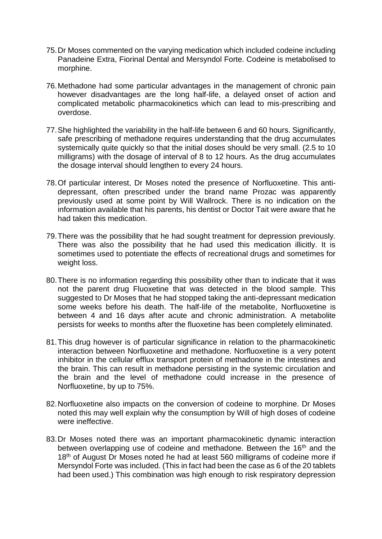- 75.Dr Moses commented on the varying medication which included codeine including Panadeine Extra, Fiorinal Dental and Mersyndol Forte. Codeine is metabolised to morphine.
- 76.Methadone had some particular advantages in the management of chronic pain however disadvantages are the long half-life, a delayed onset of action and complicated metabolic pharmacokinetics which can lead to mis-prescribing and overdose.
- 77.She highlighted the variability in the half-life between 6 and 60 hours. Significantly, safe prescribing of methadone requires understanding that the drug accumulates systemically quite quickly so that the initial doses should be very small. (2.5 to 10 milligrams) with the dosage of interval of 8 to 12 hours. As the drug accumulates the dosage interval should lengthen to every 24 hours.
- 78.Of particular interest, Dr Moses noted the presence of Norfluoxetine. This antidepressant, often prescribed under the brand name Prozac was apparently previously used at some point by Will Wallrock. There is no indication on the information available that his parents, his dentist or Doctor Tait were aware that he had taken this medication.
- 79.There was the possibility that he had sought treatment for depression previously. There was also the possibility that he had used this medication illicitly. It is sometimes used to potentiate the effects of recreational drugs and sometimes for weight loss.
- 80.There is no information regarding this possibility other than to indicate that it was not the parent drug Fluoxetine that was detected in the blood sample. This suggested to Dr Moses that he had stopped taking the anti-depressant medication some weeks before his death. The half-life of the metabolite, Norfluoxetine is between 4 and 16 days after acute and chronic administration. A metabolite persists for weeks to months after the fluoxetine has been completely eliminated.
- 81.This drug however is of particular significance in relation to the pharmacokinetic interaction between Norfluoxetine and methadone. Norfluoxetine is a very potent inhibitor in the cellular efflux transport protein of methadone in the intestines and the brain. This can result in methadone persisting in the systemic circulation and the brain and the level of methadone could increase in the presence of Norfluoxetine, by up to 75%.
- 82.Norfluoxetine also impacts on the conversion of codeine to morphine. Dr Moses noted this may well explain why the consumption by Will of high doses of codeine were ineffective.
- 83.Dr Moses noted there was an important pharmacokinetic dynamic interaction between overlapping use of codeine and methadone. Between the 16<sup>th</sup> and the 18<sup>th</sup> of August Dr Moses noted he had at least 560 milligrams of codeine more if Mersyndol Forte was included. (This in fact had been the case as 6 of the 20 tablets had been used.) This combination was high enough to risk respiratory depression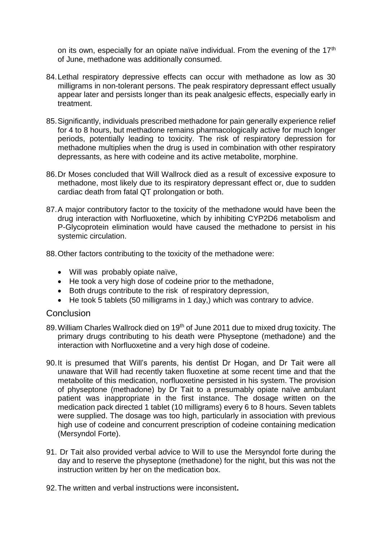on its own, especially for an opiate naïve individual. From the evening of the 17<sup>th</sup> of June, methadone was additionally consumed.

- 84.Lethal respiratory depressive effects can occur with methadone as low as 30 milligrams in non-tolerant persons. The peak respiratory depressant effect usually appear later and persists longer than its peak analgesic effects, especially early in treatment.
- 85.Significantly, individuals prescribed methadone for pain generally experience relief for 4 to 8 hours, but methadone remains pharmacologically active for much longer periods, potentially leading to toxicity. The risk of respiratory depression for methadone multiplies when the drug is used in combination with other respiratory depressants, as here with codeine and its active metabolite, morphine.
- 86.Dr Moses concluded that Will Wallrock died as a result of excessive exposure to methadone, most likely due to its respiratory depressant effect or, due to sudden cardiac death from fatal QT prolongation or both.
- 87.A major contributory factor to the toxicity of the methadone would have been the drug interaction with Norfluoxetine, which by inhibiting CYP2D6 metabolism and P-Glycoprotein elimination would have caused the methadone to persist in his systemic circulation.
- 88.Other factors contributing to the toxicity of the methadone were:
	- Will was probably opiate naïve,
	- He took a very high dose of codeine prior to the methadone,
	- Both drugs contribute to the risk of respiratory depression,
	- He took 5 tablets (50 milligrams in 1 day,) which was contrary to advice.

#### **Conclusion**

- 89. William Charles Wallrock died on 19<sup>th</sup> of June 2011 due to mixed drug toxicity. The primary drugs contributing to his death were Physeptone (methadone) and the interaction with Norfluoxetine and a very high dose of codeine.
- 90.It is presumed that Will's parents, his dentist Dr Hogan, and Dr Tait were all unaware that Will had recently taken fluoxetine at some recent time and that the metabolite of this medication, norfluoxetine persisted in his system. The provision of physeptone (methadone) by Dr Tait to a presumably opiate naïve ambulant patient was inappropriate in the first instance. The dosage written on the medication pack directed 1 tablet (10 milligrams) every 6 to 8 hours. Seven tablets were supplied. The dosage was too high, particularly in association with previous high use of codeine and concurrent prescription of codeine containing medication (Mersyndol Forte).
- 91. Dr Tait also provided verbal advice to Will to use the Mersyndol forte during the day and to reserve the physeptone (methadone) for the night, but this was not the instruction written by her on the medication box.
- 92.The written and verbal instructions were inconsistent**.**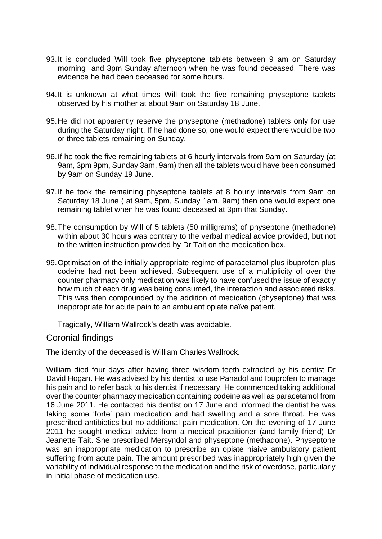- 93.It is concluded Will took five physeptone tablets between 9 am on Saturday morning and 3pm Sunday afternoon when he was found deceased. There was evidence he had been deceased for some hours.
- 94.It is unknown at what times Will took the five remaining physeptone tablets observed by his mother at about 9am on Saturday 18 June.
- 95.He did not apparently reserve the physeptone (methadone) tablets only for use during the Saturday night. If he had done so, one would expect there would be two or three tablets remaining on Sunday.
- 96.If he took the five remaining tablets at 6 hourly intervals from 9am on Saturday (at 9am, 3pm 9pm, Sunday 3am, 9am) then all the tablets would have been consumed by 9am on Sunday 19 June.
- 97.If he took the remaining physeptone tablets at 8 hourly intervals from 9am on Saturday 18 June ( at 9am, 5pm, Sunday 1am, 9am) then one would expect one remaining tablet when he was found deceased at 3pm that Sunday.
- 98.The consumption by Will of 5 tablets (50 milligrams) of physeptone (methadone) within about 30 hours was contrary to the verbal medical advice provided, but not to the written instruction provided by Dr Tait on the medication box.
- 99.Optimisation of the initially appropriate regime of paracetamol plus ibuprofen plus codeine had not been achieved. Subsequent use of a multiplicity of over the counter pharmacy only medication was likely to have confused the issue of exactly how much of each drug was being consumed, the interaction and associated risks. This was then compounded by the addition of medication (physeptone) that was inappropriate for acute pain to an ambulant opiate naïve patient.

Tragically, William Wallrock's death was avoidable.

Coronial findings

The identity of the deceased is William Charles Wallrock.

William died four days after having three wisdom teeth extracted by his dentist Dr David Hogan. He was advised by his dentist to use Panadol and Ibuprofen to manage his pain and to refer back to his dentist if necessary. He commenced taking additional over the counter pharmacy medication containing codeine as well as paracetamol from 16 June 2011. He contacted his dentist on 17 June and informed the dentist he was taking some 'forte' pain medication and had swelling and a sore throat. He was prescribed antibiotics but no additional pain medication. On the evening of 17 June 2011 he sought medical advice from a medical practitioner (and family friend) Dr Jeanette Tait. She prescribed Mersyndol and physeptone (methadone). Physeptone was an inappropriate medication to prescribe an opiate niaive ambulatory patient suffering from acute pain. The amount prescribed was inappropriately high given the variability of individual response to the medication and the risk of overdose, particularly in initial phase of medication use.